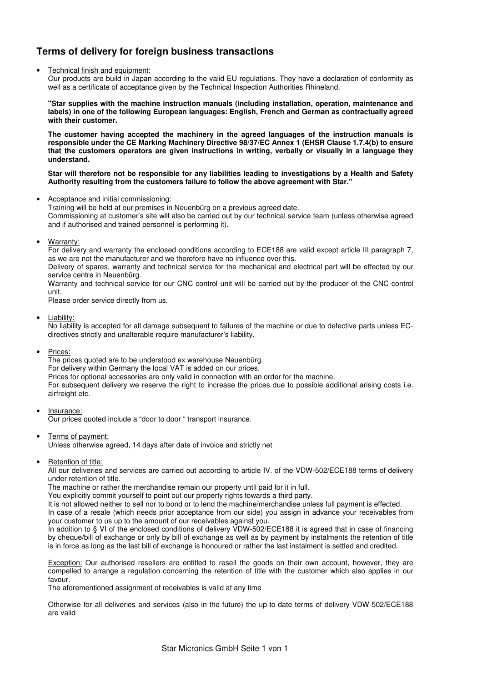# **Terms of delivery for foreign business transactions**

#### • Technical finish and equipment:

Our products are build in Japan according to the valid EU regulations. They have a declaration of conformity as well as a certificate of acceptance given by the Technical Inspection Authorities Rhineland.

**"Star supplies with the machine instruction manuals (including installation, operation, maintenance and labels) in one of the following European languages: English, French and German as contractually agreed with their customer.** 

**The customer having accepted the machinery in the agreed languages of the instruction manuals is responsible under the CE Marking Machinery Directive 98/37/EC Annex 1 (EHSR Clause 1.7.4(b) to ensure that the customers operators are given instructions in writing, verbally or visually in a language they understand.** 

Star will therefore not be responsible for any liabilities leading to investigations by a Health and Safety **Authority resulting from the customers failure to follow the above agreement with Star."** 

• Acceptance and initial commissioning:

Training will be held at our premises in Neuenbürg on a previous agreed date. Commissioning at customer's site will also be carried out by our technical service team (unless otherwise agreed and if authorised and trained personnel is performing it).

• Warranty:

For delivery and warranty the enclosed conditions according to ECE188 are valid except article III paragraph 7, as we are not the manufacturer and we therefore have no influence over this.

Delivery of spares, warranty and technical service for the mechanical and electrical part will be effected by our service centre in Neuenbürg.

Warranty and technical service for our CNC control unit will be carried out by the producer of the CNC control unit.

Please order service directly from us.

• Liability:

No liability is accepted for all damage subsequent to failures of the machine or due to defective parts unless ECdirectives strictly and unalterable require manufacturer's liability.

• Prices:

The prices quoted are to be understood ex warehouse Neuenbürg.

For delivery within Germany the local VAT is added on our prices.

Prices for optional accessories are only valid in connection with an order for the machine.

For subsequent delivery we reserve the right to increase the prices due to possible additional arising costs i.e. airfreight etc.

Insurance:

Our prices quoted include a "door to door " transport insurance.

• Terms of payment:

Unless otherwise agreed, 14 days after date of invoice and strictly net

• Retention of title:

All our deliveries and services are carried out according to article IV. of the VDW-502/ECE188 terms of delivery under retention of title.

The machine or rather the merchandise remain our property until paid for it in full.

You explicitly commit yourself to point out our property rights towards a third party.

It is not allowed neither to sell nor to bond or to lend the machine/merchandise unless full payment is effected. In case of a resale (which needs prior acceptance from our side) you assign in advance your receivables from your customer to us up to the amount of our receivables against you.

In addition to § VI of the enclosed conditions of delivery VDW-502/ECE188 it is agreed that in case of financing by cheque/bill of exchange or only by bill of exchange as well as by payment by instalments the retention of title is in force as long as the last bill of exchange is honoured or rather the last instalment is settled and credited.

Exception: Our authorised resellers are entitled to resell the goods on their own account, however, they are compelled to arrange a regulation concerning the retention of title with the customer which also applies in our favour.

The aforementioned assignment of receivables is valid at any time

Otherwise for all deliveries and services (also in the future) the up-to-date terms of delivery VDW-502/ECE188 are valid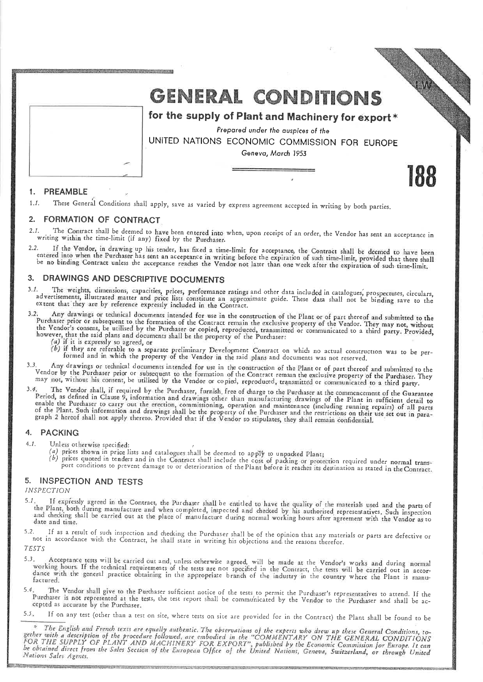

# **GENERAL CONDITIONS**

for the supply of Plant and Machinery for export\*

Prepared under the auspices of the UNITED NATIONS ECONOMIC COMMISSION FOR EUROPE Geneva, March 1953

188

#### PREAMBLE  $\mathbf{1}$

These General Conditions shall apply, save as varied by express agreement accepted in writing by both parties.  $1.1$ 

#### **FORMATION OF CONTRACT**  $2<sub>1</sub>$

 $2.1.$ The Contract shall be deemed to have been entered into when, upon receipt of an order, the Vendor has sent an acceptance in writing within the time-limit (if any) fixed by the Purchaser.

2. If the Vendor, in drawing up his tender, has fixed a time-limit for acceptance, the Contract shall be deemed to have been<br>entered into when the Purchaser has sent an acceptance in writing before the expiration of such t  $2.2$ 

# 3. DRAWINGS AND DESCRIPTIVE DOCUMENTS

1. The weights, dimensions, capacities, prices, performance ratings and other data included in catalogues, prospectuses, circulars, advertisements, illustrated matter and price lists constitute an approximate guide. These  $3.1.$ extent that they are by reference expressly included in the Contract.

Any drawings or technical documents intended for use in the construction of the Plant or of part thereof and submitted to the  $3.2.$ Furthaser prior or subsequent to the formation of the Contract remain the exclusive property of the Vendor. They may not, without the Vendor's consequent to the formation of the Contract remain the exclusive property of th

(a) if it is expressly so agreed, or

(b) if they are referable to a separate preliminary Development Contract on which no actual construction was to be per-<br>formed and in which the property of the Vendor in the said plans and documents was not reserved.

3. Any drawings or technical documents intended for use in the construction of the Plant or of part thereof and submitted to the Vendor by the Purchaser prior or subsequent to the formation of the Contract remain the exclu  $3,3$ 

The Vendor shall, if required by the Purchaser, furnish free of charge to the Purchaser at the commencement of the Guarantee Period, as defined in Clause 9, information and drawings other than manufacturing drawings of the Plant in sufficient detail to refluct as defined in Grause 7, information and drawings other than manufacturing drawings of the Pant. In surfacent detail to enable the Purchaser to carry out the erection, commissioning, operation and maintenance (inclu

#### 4. **PACKING**

 $4.1.$ Unless otherwise specified:

- (a) prices shown in price lists and catalogues shall be deemed to apply to unpacked Plant;
- (b) prices shown in price that all all include the cost of packing or protection required under normal transport conditions to prevent damage to or deterioration of the Plant before it reaches its destination as stated in

#### **INSPECTION AND TESTS** 5.

**INSPECTION** 

If expressly agreed in the Contract, the Purchaser shall be entitled to have the quality of the materials used and the parts of  $5.1.$ the Plant, both during manufacture and when completed, inspected and checked by his authorised representatives. Such inspection and checking shall be carried out at the place of manufacture during normal working hours after agreement with the Vendor as to date and time.

?. If as a result of such inspection and checking the Purchaser shall be of the opinion that any materials or parts are defective or<br>not in accordance with the Contract, he shall state in writing his objections and the rea  $5.2.$ 

TESTS

- 3. Acceptance tests will be carried out and, unless otherwise agreed, will be made at the Vendor's works and during normal<br>working hours. If the technical requirements of the tests are not specified in the Contract, the te  $5.3.$ factured.
- 5.4 The Vendor shall give to the Purchaser sufficient notice of the tests to permit the Purchaser's representatives to attend. If the Purchaser is not represented at the tests, the test report shall be communicated by the Vendor to the Purchaser and shall be accepted as accurate by the Purchaser.
- $5.5.$ If on any test (other than a test on site, where tests on site are provided for in the Contract) the Plant shall be found to be

<sup>\*</sup> The English and French texts are equally authentic. The observations of the experts who drew up these General Conditions, to-<br>gether with a description of the procedure followed, are embodied in the "COMMENTARY ON THE Nations Sales Agents.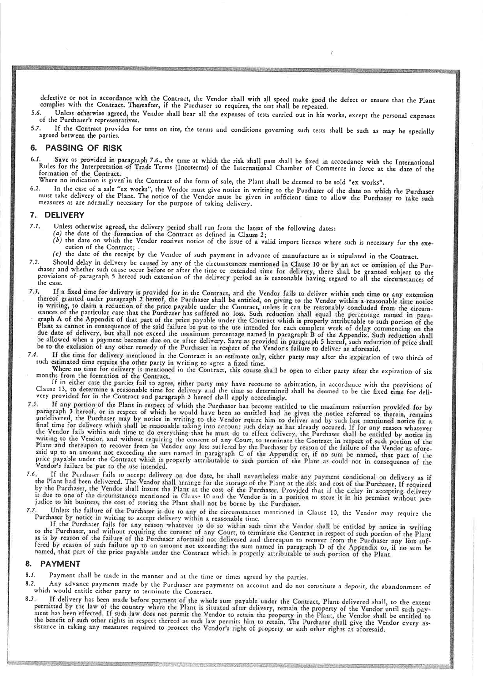defective or not in accordance with the Contract, the Vendor shall with all speed make good the defect or ensure that the Plant complies with the Contract. Thereafter, if the Purchaser so requires, the test shall be repeated.

Unless otherwise agreed, the Vendor shall bear all the expenses of tests carried out in his works, except the personal expenses 5.6. of the Purchaser's representatives.

If the Contract provides for tests on site, the terms and conditions governing such tests shall be such as may be specially  $5.7.$ agreed between the parties.

#### **PASSING OF RISK** 6.

. Save as provided in paragraph 7.6., the time at which the risk shall pass shall be fixed in accordance with the International<br>Rules for the Interpretation of Trade Terms (Incoterms) of the International Chamber of Commer formation of the Contract.

Where no indication is given in the Contract of the form of sale, the Plant shall be deemed to be sold "ex works".

In the case of a sale "ex works", the Vendor must give notice in writing to the Purchaser of the date on which the Purchaser must take delivery of the Plant. The notice of the Vendor must be given in sufficient time to allow the Purchaser to take such measures as are normally necessary for the purpose of taking delivery.

#### 7. DELIVERY

- $7.1.$ 
	-
- Unless otherwise agreed, the delivery period shall run from the latest of the following dates:<br>(a) the date of the formation of the Contract as defined in Clause 2;<br>(b) the date on which the Vendor receives notice of the cution of the Contract;
	- (c) the date of the receipt by the Vendor of such payment in advance of manufacture as is stipulated in the Contract.
- 2. Should delay in delivery be caused by any of the circumstances mentioned in Clause 10 or by an act or omission of the Pur-<br>chaser and whether such cause occur before or after the time or extended time for delivery, ther  $7.2.$ the case.
- If a fixed time for delivery is provided for in the Contract, and the Vendor fails to deliver within such time or any extension thereof granted under paragraph 2 hereof, the Purchaser shall be entitled, on giving to the Ve  $7.3.$ thereor granted under paragraph z nereor, the Purchaser shall be entitled, on giving to the Vendor within a reasonable time notice<br>in writing, to claim a reduction of the price payable under the Contract, unless it can be
- $7.4.$ If the time for delivery mentioned in the Contract is an estimate only, either party may after the expiration of two thirds of
- 

For the time for delivery mentioned in the Contract is an estimate omy, entirely may arter the expiration of two thrius of<br>such estimated time require the other party in writing to agree a fixed time.<br>Where no time for del very provided for in the Contract and paragraph 3 hereof shall apply accordingly.

- For provided for in the Contract and paragraph 3 nereot shall apply accordingly.<br>
If any portion of the Plant in respect of which the Purchaser has become entitled to the maximum reduction provided for by<br>
paragraph 3 here 7.5.
- If the Purchaser fails to accept delivery on due date, he shall nevertheless make any payment conditional on delivery as if<br>the Plant had been delivered. The Vendor shall arrange for the storage of the Plant at the risk an  $7.6$ judice to his business, the cost of storing the Plant shall not be borne by the Purchaser.
- $7.7$ Unless the failure of the Purchaser is due to any of the circumstances mentioned in Clause 10, the Vendor may require the Purchaser by notice in writing to accept delivery within a reasonable time.

If the Purchaser fails for any reason whatever to do so within such time the Vendor shall be entitled by notice in writing to the Purchaser, and without requiring the consent of any Court, to terminate the Contract in respect of such portion of the Plant<br>as is by reason of the failure of the Purchaser aforesaid not delivered and thereupon to r fered by reason of such failure up to an amount not exceeding the sum named in paragraph D of the Appendix or, if no sum be named, that part of the price payable under the Contract which is properly attributable to such po

#### 8. **PAYMENT**

 $8.1.$ Payment shall be made in the manner and at the time or times agreed by the parties.

- Any advance payments made by the Purchaser are payments on account and do not constitute a deposit, the abandonment of  $8.2.$ which would entitle either party to terminate the Contract.
- 3. If delivered shall, to the extent<br>permitted by the law of the country where the Plant is situated after delivery, remain the property of the Vendor until such pay-<br>permitted by the law of the country where the Plant is  $8.3.$

a Military Party and Military and the company of the control of the control of the control of the control of the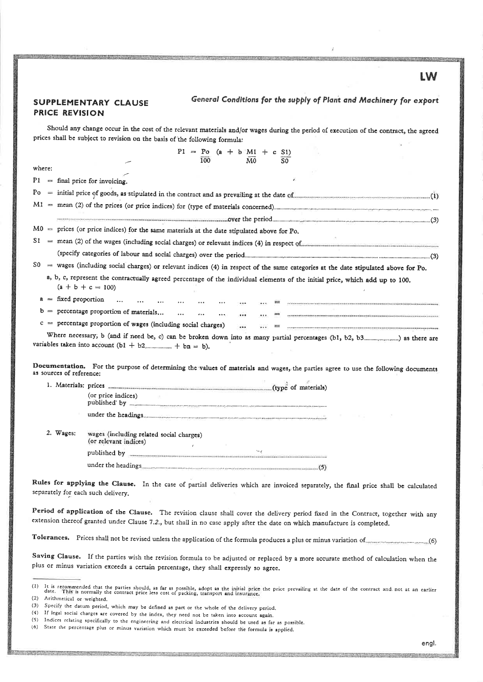### **SUPPLEMENTARY CLAUSE PRICE REVISION**

General Conditions for the supply of Plant and Machinery for export

Should any change occur in the cost of the relevant materials and/or wages during the period of execution of the contract, the agreed prices shall be subject to revision on the basis of the following formula:

|                                                                                                                                                                                                          |                          |                                                                   | 100                       | $P1 = Po (a + b)M1 + c S1$<br>M0 | S0. |                                                                                                                                        |  |
|----------------------------------------------------------------------------------------------------------------------------------------------------------------------------------------------------------|--------------------------|-------------------------------------------------------------------|---------------------------|----------------------------------|-----|----------------------------------------------------------------------------------------------------------------------------------------|--|
| where:                                                                                                                                                                                                   |                          |                                                                   |                           |                                  |     |                                                                                                                                        |  |
|                                                                                                                                                                                                          |                          | $P1 =$ final price for invoicing.                                 |                           |                                  |     |                                                                                                                                        |  |
|                                                                                                                                                                                                          |                          |                                                                   |                           |                                  |     |                                                                                                                                        |  |
| $Po$ = initial price of goods, as stipulated in the contract and as prevailing at the date of $(1)$                                                                                                      |                          |                                                                   |                           |                                  |     |                                                                                                                                        |  |
|                                                                                                                                                                                                          |                          |                                                                   |                           |                                  |     |                                                                                                                                        |  |
|                                                                                                                                                                                                          |                          |                                                                   |                           |                                  |     |                                                                                                                                        |  |
| $M0 =$ prices (or price indices) for the same materials at the date stipulated above for Po.<br>$S1 =$ mean (2) of the wages (including social charges) or relevant indices (4) in respect of $\epsilon$ |                          |                                                                   |                           |                                  |     |                                                                                                                                        |  |
|                                                                                                                                                                                                          |                          |                                                                   |                           |                                  |     |                                                                                                                                        |  |
|                                                                                                                                                                                                          |                          |                                                                   |                           |                                  |     | $S0 =$ wages (including social charges) or relevant indices (4) in respect of the same categories at the date stipulated above for Po. |  |
|                                                                                                                                                                                                          |                          | $(a + b + c = 100)$                                               |                           |                                  |     | a, b, c, represent the contractually agreed percentage of the individual elements of the initial price, which add up to 100.           |  |
|                                                                                                                                                                                                          | $a = fixed proportion$   |                                                                   |                           |                                  |     |                                                                                                                                        |  |
|                                                                                                                                                                                                          |                          | $b =$ percentage proportion of materials                          | <b>Alberta Controller</b> | $\mathbf{r}$ and $\mathbf{r}$    |     |                                                                                                                                        |  |
|                                                                                                                                                                                                          |                          | $c =$ percentage proportion of wages (including social charges)   |                           | $\cdots$<br>                     |     |                                                                                                                                        |  |
|                                                                                                                                                                                                          |                          |                                                                   |                           |                                  |     |                                                                                                                                        |  |
|                                                                                                                                                                                                          | as sources of reference: |                                                                   |                           |                                  |     | Documentation. For the purpose of determining the values of materials and wages, the parties agree to use the following documents      |  |
|                                                                                                                                                                                                          |                          |                                                                   |                           |                                  |     |                                                                                                                                        |  |
|                                                                                                                                                                                                          |                          | (or price indices)                                                |                           |                                  |     |                                                                                                                                        |  |
|                                                                                                                                                                                                          |                          |                                                                   |                           |                                  |     |                                                                                                                                        |  |
|                                                                                                                                                                                                          | 2. Wages:                | wages (including related social charges)<br>(or relevant indices) | $\epsilon$                |                                  |     |                                                                                                                                        |  |
|                                                                                                                                                                                                          |                          | published by <b>www.communication.communication.com</b>           |                           |                                  |     |                                                                                                                                        |  |
|                                                                                                                                                                                                          |                          |                                                                   |                           |                                  |     |                                                                                                                                        |  |
|                                                                                                                                                                                                          |                          | separately for each such delivery.                                |                           |                                  |     | Rules for applying the Clause. In the case of partial deliveries which are invoiced separately, the final price shall be calculated    |  |

Period of application of the Clause. The revision clause shall cover the delivery period fixed in the Contract, together with any extension thereof granted under Clause 7.2., but shall in no case apply after the date on which manufacture is completed.

Tolerances. Prices shall not be revised unless the application of the formula produces a plus or minus variation of warration (6)

Saving Clause. If the parties wish the revision formula to be adjusted or replaced by a more accurate method of calculation when the plus or minus variation exceeds a certain percentage, they shall expressly so agree.

 $(3)$ 

LW

It is recommended that the parties should, as far as possible, adopt as the initial price the price prevailing at the date of the contract and not at an earlier<br>date. This is normally the contract price less cost of packin  $(1)$ (2) Arithmetical or weighted.

Specify the datum period, which may be defined as part or the whole of the delivery period.

<sup>(4)</sup> If legal social charges are covered by the index, they need not be taken into account again.

<sup>(5)</sup> Indices relating specifically to the engineering and electrical industries should be used as far as possible.

<sup>(6)</sup> State the percentage plus or minus variation which must be exceeded before the formula is applied.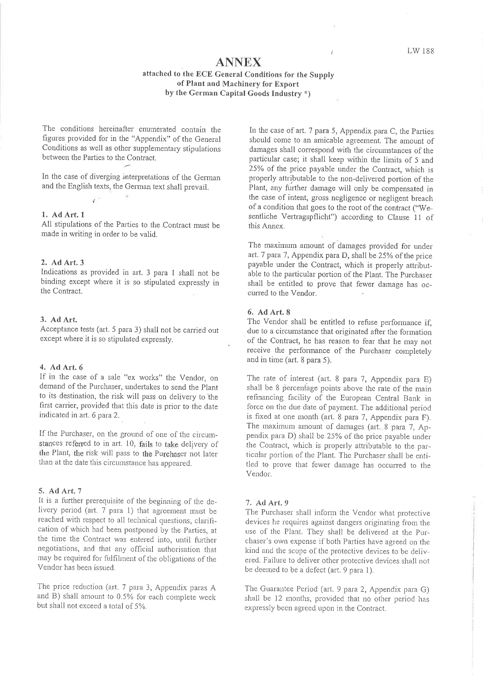# **ANNEX**

attached to the ECE General Conditions for the Supply of Plant and Machinery for Export by the German Capital Goods Industry \*)

The conditions hereinafter enumerated contain the figures provided for in the "Appendix" of the General Conditions as well as other supplementary stipulations between the Parties to the Contract.

In the case of diverging interpretations of the German and the English texts, the German text shall prevail.

#### 1. Ad Art. 1

All stipulations of the Parties to the Contract must be made in writing in order to be valid.

#### 2. Ad Art. 3

Indications as provided in art. 3 para 1 shall not be binding except where it is so stipulated expressly in the Contract.

#### 3. Ad Art.

Acceptance tests (art. 5 para 3) shall not be carried out except where it is so stipulated expressly.

### 4. Ad Art. 6

If in the case of a sale "ex works" the Vendor, on demand of the Purchaser, undertakes to send the Plant to its destination, the risk will pass on delivery to the first carrier, provided that this date is prior to the date indicated in art. 6 para 2.

If the Purchaser, on the ground of one of the circumstances referred to in art. 10, fails to take delivery of the Plant, the risk will pass to the Purchaser not later than at the date this circumstance has appeared.

#### 5. Ad Art. 7

It is a further prerequisite of the beginning of the delivery period (art. 7 para 1) that agreement must be reached with respect to all technical questions, clarification of which had been postponed by the Parties, at the time the Contract was entered into, until further negotiations, and that any official authorisation that may be required for fulfilment of the obligations of the Vendor has been issued.

The price reduction (art. 7 para 3, Appendix paras A and B) shall amount to 0.5% for each complete week but shall not exceed a total of 5%.

In the case of art. 7 para 5, Appendix para C, the Parties should come to an amicable agreement. The amount of damages shall correspond with the circumstances of the particular case; it shall keep within the limits of 5 and 25% of the price payable under the Contract, which is properly attributable to the non-delivered portion of the Plant, any further damage will only be compensated in the case of intent, gross negligence or negligent breach of a condition that goes to the root of the contract ("Wesentliche Vertragspflicht") according to Clause 11 of this Annex.

The maximum amount of damages provided for under art. 7 para 7, Appendix para D, shall be 25% of the price payable under the Contract, which is properly attributable to the particular portion of the Plant. The Purchaser shall be entitled to prove that fewer damage has occurred to the Vendor.

### 6. Ad Art. 8

The Vendor shall be entitled to refuse performance if, due to a circumstance that originated after the formation of the Contract, he has reason to fear that he may not receive the performance of the Purchaser completely and in time (art. 8 para 5).

The rate of interest (art. 8 para 7, Appendix para E) shall be 8 percentage points above the rate of the main refinancing facility of the European Central Bank in force on the due date of payment. The additional period is fixed at one month (art. 8 para 7, Appendix para F). The maximum amount of damages (art. 8 para 7, Appendix para D) shall be 25% of the price payable under the Contract, which is properly attributable to the particular portion of the Plant. The Purchaser shall be entitled to prove that fewer damage has occurred to the Vendor.

#### 7. Ad Art. 9

The Purchaser shall inform the Vendor what protective devices he requires against dangers originating from the use of the Plant. They shall be delivered at the Purchaser's own expense if both Parties have agreed on the kind and the scope of the protective devices to be delivered. Failure to deliver other protective devices shall not be deemed to be a defect (art. 9 para 1).

The Guarantee Period (art. 9 para 2, Appendix para G) shall be 12 months, provided that no other period has expressly been agreed upon in the Contract.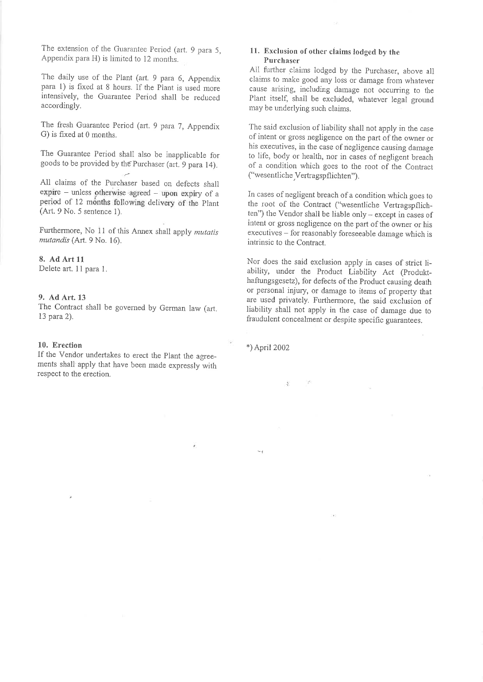The extension of the Guarantee Period (art. 9 para 5, Appendix para H) is limited to 12 months.

The daily use of the Plant (art. 9 para 6, Appendix para 1) is fixed at 8 hours. If the Plant is used more intensively, the Guarantee Period shall be reduced accordingly.

The fresh Guarantee Period (art. 9 para 7, Appendix G) is fixed at 0 months.

The Guarantee Period shall also be inapplicable for goods to be provided by the Purchaser (art. 9 para 14).

All claims of the Purchaser based on defects shall expire - unless otherwise agreed - upon expiry of a period of 12 months following delivery of the Plant (Art. 9 No. 5 sentence 1).

Furthermore, No 11 of this Annex shall apply mutatis mutandis (Art. 9 No. 16).

### 8. Ad Art 11

Delete art. 11 para 1.

### 9. Ad Art. 13

The Contract shall be governed by German law (art. 13 para 2).

#### 10. Erection

If the Vendor undertakes to erect the Plant the agreements shall apply that have been made expressly with respect to the erection.

### 11. Exclusion of other claims lodged by the Purchaser

All further claims lodged by the Purchaser, above all claims to make good any loss or damage from whatever cause arising, including damage not occurring to the Plant itself, shall be excluded, whatever legal ground may be underlying such claims.

The said exclusion of liability shall not apply in the case of intent or gross negligence on the part of the owner or his executives, in the case of negligence causing damage to life, body or health, nor in cases of negligent breach of a condition which goes to the root of the Contract ("wesentliche Vertragspflichten").

In cases of negligent breach of a condition which goes to the root of the Contract ("wesentliche Vertragspflichten") the Vendor shall be liable only - except in cases of intent or gross negligence on the part of the owner or his executives – for reasonably foreseeable damage which is intrinsic to the Contract

Nor does the said exclusion apply in cases of strict liability, under the Product Liability Act (Produkthaftungsgesetz), for defects of the Product causing death or personal injury, or damage to items of property that are used privately. Furthermore, the said exclusion of liability shall not apply in the case of damage due to fraudulent concealment or despite specific guarantees.

\*) April 2002

š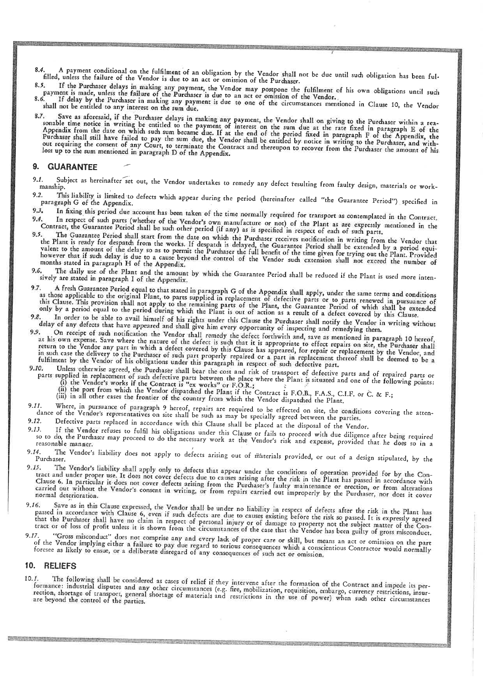A payment conditional on the fulfilment of an obligation by the Vendor shall not be due until such obligation has been ful- $8,4$ filled, unless the failure of the Vendor is due to an act or omission of the Purchaser.  $8.5.$ 

5. If the Purchaser delays in making any payment, the Vendor may postpone the fulfilment of his own obligations until such<br>payment is made, unless the failure of the Purchaser is due to an act or omission of the Vendor.<br>6. 8.6.

shall not be entitled to any interest on the sum due.

7. Save as aforesaid, if the Purchaser delays in making any payment, the Vendor shall on giving to the Purchaser within a reasonable time notice in writing be entitled to the payment of interest on the sum due at the rate loss up to the sum mentioned in paragraph D of the Appendix.

### 9. GUARANTEE

- Subject as hereinafter set out, the Vendor undertakes to remedy any defect resulting from faulty design, materials or work- $9.1.$ manship.  $9.2.$
- This liability is limited to defects which appear during the period (hereinafter called "the Guarantee Period") specified in paragraph G of the Appendix.  $9.3.$
- In fixing this period due account has been taken of the time normally required for transport as contemplated in the Contract. In respect of such parts (whether of the Vendor's own manufacture or not) of the Plant as are expressly mentioned in the 9.4.
- Contract, the Guarantee Period shall be such other period (if any) as is specified in respect of each of such parts. The Guarantee Period shall start from the date on which the Purchaser receives notification in writing from the Vendor that 9.5. the Plant is ready for despatch from the works. If despatch is delayed, the Guarantee Period shall be extended by a period equivalent to the amount of the delay so as to permit the Purchaser the full benefit of the time gi however that if such delay is due to a cause beyond the control of the Vendor such extension shall not exceed the number of months stated in paragraph H of the Appendix.
- The daily use of the Plant and the amount by which the Guarantee Period shall be reduced if the Plant is used more inten-9.6. sively are stated in paragraph I of the Appendix.
- A fresh Guarantee Period equal to that stated in paragraph G of the Appendix shall apply, under the same terms and conditions as those applicable to the original Plant, to parts supplied in replacement of defective parts o 9.7. this Clause. This provision shall not apply to the remaining parts of the Plant, the Guarantee Period of which shall be extended<br>only by a period equal to the period during which the Plant is out of action as a result of a
- In order to be able to avail himself of his rights under this Clause the Purchaser shall notify the Vendor in writing without  $9.8.$ delay of any defects that have appeared and shall give him every opportunity of inspecting and remedying them.
- On receipt of such notification the Vendor shall remedy the defect forthwith and, save as mentioned in paragraph 10 hereof, 9.9. at his own expense. Save where the nature of the defect is such that it is appropriate to effect repairs on site, the Purchaser shall Teturn to the Vendor any part in which a defect covered by this Clause has appeared, for repair or replacement by the Vendor, and<br>in such case the delivery to the Purchaser of such part properly repaired or a part in repla
- Unless otherwise agreed, the Purchaser shall bear the cost and risk of transport of defective parts and of repaired parts or 9.10. parts supplied in replacement of such defective parts between the place where the Plant is situated and one of the following points:<br>(i) the Vendor's works if the Contract is "ex works" or F.O.R.;<br>(ii) the port from which
	-
	-
- 11. Where, in pursuance of paragraph 9 hereof, repairs are required to be effected on site, the conditions covering the attendance of the Vendor's representatives on site shall be such as may be specially agreed between th  $9.11.$ Defective parts replaced in accordance with this Clause shall be placed at the disposal of the Vendor.  $9.12.$
- $9.13.$
- 13. If the Vendor refuses to fulfil his obligations under this Clause or fails to proceed with due diligence after being required<br>so to do, the Purchaser may proceed to do the necessary work at the Vendor's risk and expens
- The Vendor's liability does not apply to defects arising out of materials provided, or out of a design stipulated, by the 9.14. Purchaser.
- The Vendor's liability shall apply only to defects that appear under the conditions of operation provided for by the Con-9.15. tract and under proper use. It does not cover defects due to causes arising after the risk in the Plant has passed in accordance with Clause 6. In particular it does not cover defects arising from the Purchaser's faulty maintenance or erection, or from alterations carried out without the Vendor's consent in writing, or from repairs carried out improperly by the Purchaser, nor does it cover
- 6. Save as in this Clause expressed, the Vendor shall be under no liability in respect of defects after the risk in the Plant has passed in accordance with Clause 6, even if such defects are due to causes existing before t 9.16. that the Purchaser shall have no claim in respect of personal injury or of damage to property not the subject matter of the Contract or of loss of profit unless it is shown from the circumstances of the case that the Vendo
- 7. "Gross misconduct" does not comprise any and every lack of proper care or skill, but means an act or omission on the part<br>of the Vendor implying either a failure to pay due regard to serious consequences which a conscie 9.17 foresee as likely to ensue, or a deliberate disregard of any consequences of such act or omission.

#### 10. RELIEFS

The following shall be considered as cases of relief if they intervene after the formation of the Contract and impede its per- $10.1.$ formance: industrial disputes and any other circumstances (e.g. fire, mobilization, requisition, embargo, currency restrictions, insurrection, shortage of transport, general shortage of materials and restrictions in the us